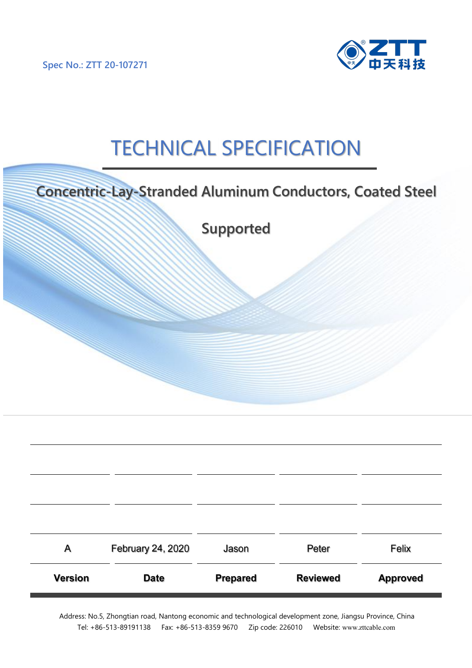**Spec No.: ZTT 20-107271**



# **TECHNICAL SPECIFICATION**

|                | <b>Concentric-Lay-Stranded Aluminum Conductors, Coated Steel</b> |                 |                 |                 |
|----------------|------------------------------------------------------------------|-----------------|-----------------|-----------------|
|                |                                                                  | Supported       |                 |                 |
|                |                                                                  |                 |                 |                 |
|                |                                                                  |                 |                 |                 |
|                |                                                                  |                 |                 |                 |
|                |                                                                  |                 |                 |                 |
|                |                                                                  |                 |                 |                 |
|                |                                                                  |                 |                 |                 |
|                |                                                                  |                 |                 |                 |
|                |                                                                  |                 |                 |                 |
| Α              | February 24, 2020                                                | Jason           | Peter           | Felix           |
| <b>Version</b> | <b>Date</b>                                                      | <b>Prepared</b> | <b>Reviewed</b> | <b>Approved</b> |

Address: No.5, Zhongtian road, Nantong economic and technological development zone, Jiangsu Province, China Tel: +86-513-89191138 Fax: +86-513-8359 9670 Zip code: 226010 Website: [www.zttcable.com](http://www.zttcable.com/)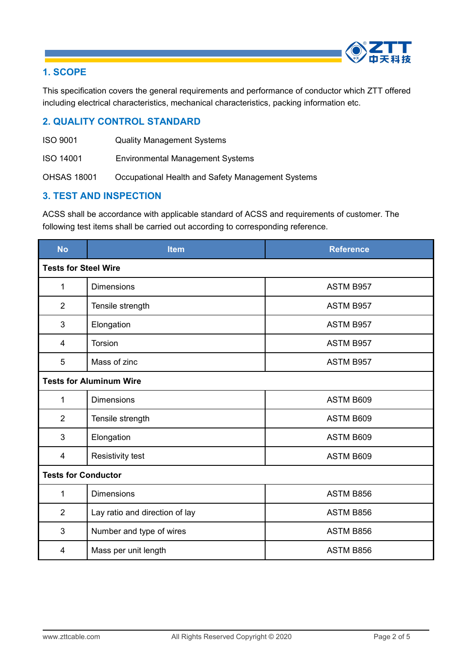

# **1. SCOPE**

This specification covers the general requirements and performance of conductor which ZTT offered including electrical characteristics, mechanical characteristics, packing information etc.

#### **2. QUALITY CONTROL STANDARD**

- ISO 9001 Quality Management Systems
- ISO 14001 Environmental Management Systems

OHSAS 18001 Occupational Health and Safety Management Systems

#### **3. TEST AND INSPECTION**

ACSS shall be accordance with applicable standard of ACSS and requirements of customer. The following test items shall be carried out according to corresponding reference.

| <b>No</b>                   | <b>Item</b>                    | <b>Reference</b> |
|-----------------------------|--------------------------------|------------------|
| <b>Tests for Steel Wire</b> |                                |                  |
| $\mathbf{1}$                | <b>Dimensions</b>              | ASTM B957        |
| $\overline{2}$              | Tensile strength               | ASTM B957        |
| 3                           | Elongation                     | ASTM B957        |
| 4                           | <b>Torsion</b>                 | ASTM B957        |
| 5                           | Mass of zinc                   | ASTM B957        |
|                             | <b>Tests for Aluminum Wire</b> |                  |
| 1                           | <b>Dimensions</b>              | ASTM B609        |
| 2                           | Tensile strength               | ASTM B609        |
| 3                           | Elongation                     | ASTM B609        |
| 4                           | Resistivity test               | ASTM B609        |
| <b>Tests for Conductor</b>  |                                |                  |
| 1                           | <b>Dimensions</b>              | ASTM B856        |
| 2                           | Lay ratio and direction of lay | ASTM B856        |
| 3                           | Number and type of wires       | ASTM B856        |
| 4                           | Mass per unit length           | ASTM B856        |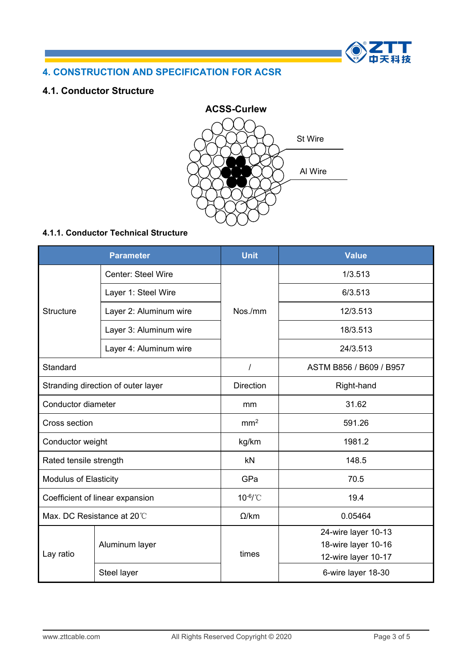

# **4. CONSTRUCTION AND SPECIFICATION FOR ACSR**

#### **4.1. Conductor Structure**



#### **4.1.1. Conductor Technical Structure**

|                                 | <b>Parameter</b>                   | <b>Unit</b>                                                                                                                                                                                                                                                    | <b>Value</b>                               |  |
|---------------------------------|------------------------------------|----------------------------------------------------------------------------------------------------------------------------------------------------------------------------------------------------------------------------------------------------------------|--------------------------------------------|--|
| Center: Steel Wire              |                                    |                                                                                                                                                                                                                                                                | 1/3.513                                    |  |
|                                 | Layer 1: Steel Wire                | 6/3.513<br>Nos./mm<br>12/3.513<br>18/3.513<br>24/3.513<br>ASTM B856 / B609 / B957<br><b>Direction</b><br>Right-hand<br>31.62<br>mm<br>mm <sup>2</sup><br>591.26<br>1981.2<br>kg/km<br>148.5<br>kN<br>GPa<br>70.5<br>10-6/°C<br>19.4<br>$\Omega$ /km<br>0.05464 |                                            |  |
| <b>Structure</b>                | Layer 2: Aluminum wire             |                                                                                                                                                                                                                                                                |                                            |  |
|                                 | Layer 3: Aluminum wire             |                                                                                                                                                                                                                                                                |                                            |  |
|                                 | Layer 4: Aluminum wire             |                                                                                                                                                                                                                                                                |                                            |  |
| Standard                        |                                    |                                                                                                                                                                                                                                                                |                                            |  |
|                                 | Stranding direction of outer layer |                                                                                                                                                                                                                                                                |                                            |  |
| Conductor diameter              |                                    |                                                                                                                                                                                                                                                                |                                            |  |
| Cross section                   |                                    |                                                                                                                                                                                                                                                                |                                            |  |
| Conductor weight                |                                    |                                                                                                                                                                                                                                                                |                                            |  |
| Rated tensile strength          |                                    |                                                                                                                                                                                                                                                                |                                            |  |
| <b>Modulus of Elasticity</b>    |                                    |                                                                                                                                                                                                                                                                |                                            |  |
| Coefficient of linear expansion |                                    |                                                                                                                                                                                                                                                                |                                            |  |
|                                 | Max. DC Resistance at 20°C         |                                                                                                                                                                                                                                                                |                                            |  |
|                                 | Aluminum layer                     |                                                                                                                                                                                                                                                                | 24-wire layer 10-13<br>18-wire layer 10-16 |  |
| Lay ratio                       |                                    | times                                                                                                                                                                                                                                                          | 12-wire layer 10-17                        |  |
|                                 | Steel layer                        |                                                                                                                                                                                                                                                                | 6-wire layer 18-30                         |  |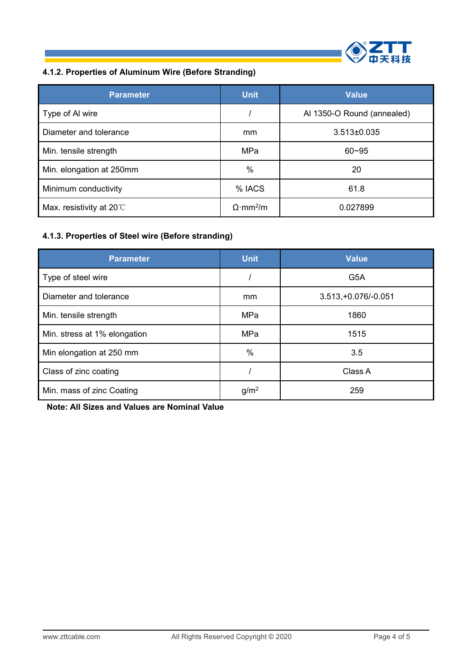

# **4.1.2. Properties of Aluminum Wire (BeforeStranding)**

| <b>Parameter</b>                   | <b>Unit</b>                  | <b>Value</b>               |
|------------------------------------|------------------------------|----------------------------|
| Type of AI wire                    |                              | Al 1350-O Round (annealed) |
| Diameter and tolerance             | <sub>mm</sub>                | $3.513 \pm 0.035$          |
| Min. tensile strength              | MPa                          | $60 - 95$                  |
| Min. elongation at 250mm           | $\%$                         | 20                         |
| Minimum conductivity               | % IACS                       | 61.8                       |
| Max. resistivity at 20 $\degree$ C | $\Omega$ ·mm <sup>2</sup> /m | 0.027899                   |

# **4.1.3. Properties of Steel wire (Before stranding)**

| <b>Parameter</b>             | <b>Unit</b>      | <b>Value</b>          |
|------------------------------|------------------|-----------------------|
| Type of steel wire           |                  | G <sub>5</sub> A      |
| Diameter and tolerance       | mm               | $3.513,+0.076/-0.051$ |
| Min. tensile strength        | MPa              | 1860                  |
| Min. stress at 1% elongation | MPa              | 1515                  |
| Min elongation at 250 mm     | $\%$             | 3.5                   |
| Class of zinc coating        |                  | Class A               |
| Min. mass of zinc Coating    | g/m <sup>2</sup> | 259                   |

**Note: All Sizes and Values are Nominal Value**